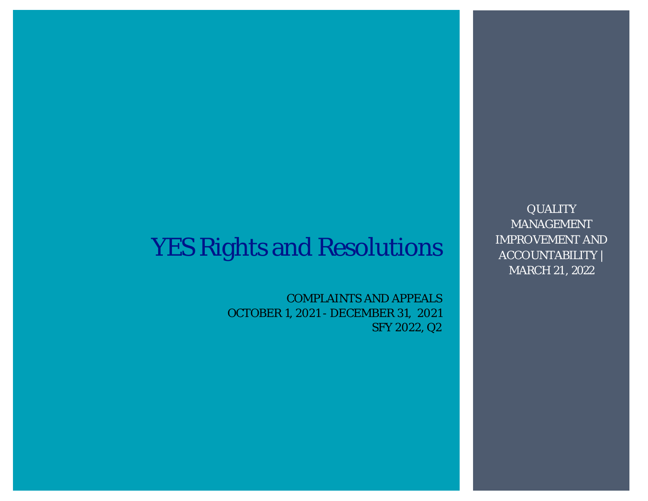# YES Rights and Resolutions

COMPLAINTS AND APPEALS OCTOBER 1, 2021 - DECEMBER 31, 2021 SFY 2022, Q2

**QUALITY** MANAGEMENT IMPROVEMENT AND ACCOUNTABILITY | MARCH 21 , 2022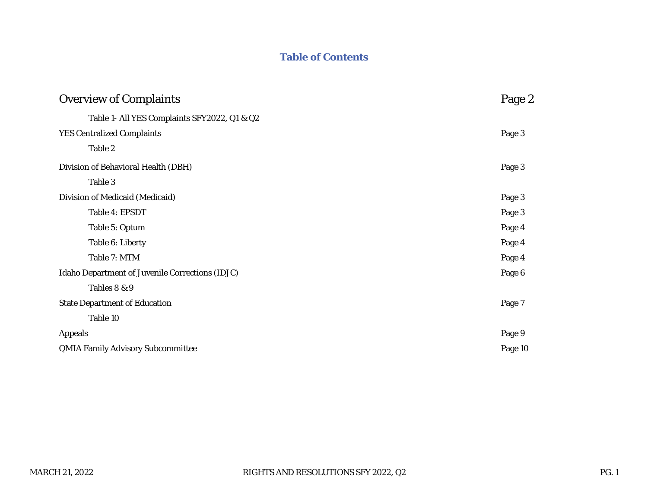# **Table of Contents**

| Overview of Complaints                          | Page 2  |
|-------------------------------------------------|---------|
| Table 1- All YES Complaints SFY2022, Q1 & Q2    |         |
| <b>YES Centralized Complaints</b>               | Page 3  |
| Table 2                                         |         |
| Division of Behavioral Health (DBH)             | Page 3  |
| Table 3                                         |         |
| Division of Medicaid (Medicaid)                 | Page 3  |
| Table 4: EPSDT                                  | Page 3  |
| Table 5: Optum                                  | Page 4  |
| Table 6: Liberty                                | Page 4  |
| Table 7: MTM                                    | Page 4  |
| Idaho Department of Juvenile Corrections (IDJC) | Page 6  |
| Tables 8 & 9                                    |         |
| <b>State Department of Education</b>            | Page 7  |
| Table 10                                        |         |
| Appeals                                         | Page 9  |
| <b>QMIA Family Advisory Subcommittee</b>        | Page 10 |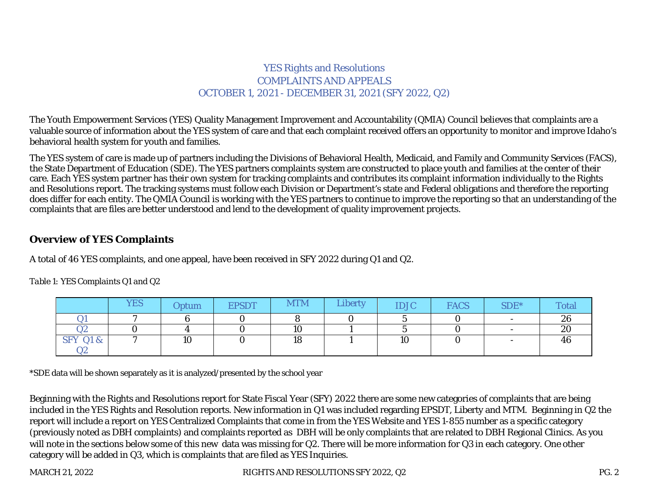## YES Rights and Resolutions COMPLAINTS AND APPEALS OCTOBER 1, 2021 - DECEMBER 31, 2021 (SFY 2022, Q2)

The Youth Empowerment Services (YES) Quality Management Improvement and Accountability (QMIA) Council believes that complaints are a valuable source of information about the YES system of care and that each complaint received offers an opportunity to monitor and improve Idaho's behavioral health system for youth and families.

The YES system of care is made up of partners including the Divisions of Behavioral Health, Medicaid, and Family and Community Services (FACS), the State Department of Education (SDE). The YES partners complaints system are constructed to place youth and families at the center of their care. Each YES system partner has their own system for tracking complaints and contributes its complaint information individually to the Rights and Resolutions report. The tracking systems must follow each Division or Department's state and Federal obligations and therefore the reporting does differ for each entity. The QMIA Council is working with the YES partners to continue to improve the reporting so that an understanding of the complaints that are files are better understood and lend to the development of quality improvement projects.

### **Overview of YES Complaints**

A total of 46 YES complaints, and one appeal, have been received in SFY 2022 during Q1 and Q2.

|                     | <b>YES</b> | Optum                | <b>EPSDT</b> | <b>MTM</b> | Liberty | <b>IDJC</b>          | <b>FACS</b> | SDE* | Total        |
|---------------------|------------|----------------------|--------------|------------|---------|----------------------|-------------|------|--------------|
|                     |            |                      |              |            |         |                      |             |      | $\sim$<br>ZO |
| ◡▵                  |            |                      |              | 10         |         |                      |             |      | 20           |
| <b>SFY Q1 &amp;</b> |            | 1 <sub>O</sub><br>ιv |              | 18         |         | 1 <sub>0</sub><br>ιU |             |      | 46           |
| $\sim$ $\sim$<br>∠∠ |            |                      |              |            |         |                      |             |      |              |

*Table 1: YES Complaints Q1 and Q2*

\*SDE data will be shown separately as it is analyzed/presented by the school year

Beginning with the Rights and Resolutions report for State Fiscal Year (SFY) 2022 there are some new categories of complaints that are being included in the YES Rights and Resolution reports. New information in Q1 was included regarding EPSDT, Liberty and MTM. Beginning in Q2 the report will include a report on YES Centralized Complaints that come in from the YES Website and YES 1-855 number as a specific category (previously noted as DBH complaints) and complaints reported as DBH will be only complaints that are related to DBH Regional Clinics. As you will note in the sections below some of this new data was missing for Q2. There will be more information for Q3 in each category. One other category will be added in Q3, which is complaints that are filed as YES Inquiries.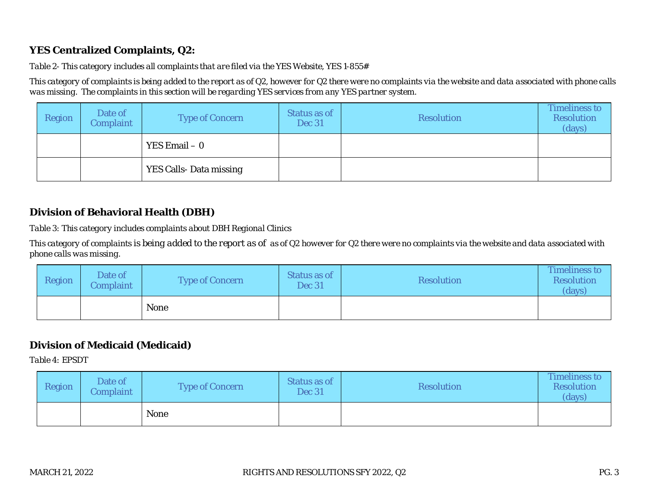## **YES Centralized Complaints, Q2:**

#### *Table 2- This category includes all complaints that are filed via the YES Website, YES 1-855#*

*This category of complaints is being added to the report as of Q2, however for Q2 there were no complaints via the website and data associated with phone calls was missing. The complaints in this section will be regarding YES services from any YES partner system.*

| Region          | Date of<br>Complaint   | Type of Concern | Status as of<br><b>Dec 31</b> | <b>Resolution</b> | <b>Timeliness to</b><br><b>Resolution</b><br>(days) |
|-----------------|------------------------|-----------------|-------------------------------|-------------------|-----------------------------------------------------|
| YES $Email - 0$ |                        |                 |                               |                   |                                                     |
|                 | YES Calls-Data missing |                 |                               |                   |                                                     |

## **Division of Behavioral Health (DBH)**

*Table 3: This category includes complaints about DBH Regional Clinics*

*This category of complaints is being added to the report as of as of Q2 however for Q2 there were no complaints via the website and data associated with phone calls was missing.*

| Region | Date of<br>Complaint/ | Type of Concern | Status as of<br><b>Dec 31</b> | <b>Resolution</b> | Timeliness to<br>Resolution<br>(days) |
|--------|-----------------------|-----------------|-------------------------------|-------------------|---------------------------------------|
| None   |                       |                 |                               |                   |                                       |

# **Division of Medicaid (Medicaid)**

*Table 4: EPSDT*

| Region | Date of<br>Complaint | Type of Concern | Status as of<br><b>Dec 31</b> | <b>Resolution</b> | Timeliness to<br><b>Resolution</b><br>(days) |
|--------|----------------------|-----------------|-------------------------------|-------------------|----------------------------------------------|
|        |                      | None            |                               |                   |                                              |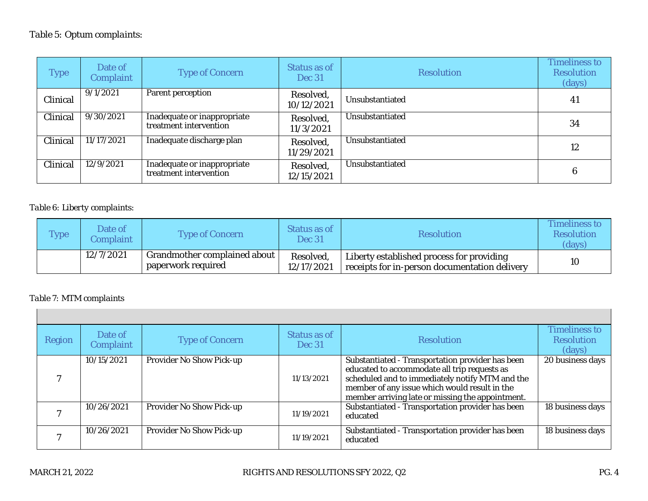| <b>Type</b> | Date of<br>Complaint | Type of Concern                                       | Status as of<br>Dec 31  | <b>Resolution</b> | <b>Timeliness to</b><br><b>Resolution</b><br>(days) |
|-------------|----------------------|-------------------------------------------------------|-------------------------|-------------------|-----------------------------------------------------|
| Clinical    | 9/1/2021             | Parent perception                                     | Resolved,<br>10/12/2021 | Unsubstantiated   | 41                                                  |
| Clinical    | 9/30/2021            | Inadequate or inappropriate<br>treatment intervention | Resolved,<br>11/3/2021  | Unsubstantiated   | 34                                                  |
| Clinical    | 11/17/2021           | Inadequate discharge plan                             | Resolved,<br>11/29/2021 | Unsubstantiated   | 12                                                  |
| Clinical    | 12/9/2021            | Inadequate or inappropriate<br>treatment intervention | Resolved,<br>12/15/2021 | Unsubstantiated   | 6                                                   |

#### *Table 6: Liberty complaints*:

| <b>Type</b> | Date of<br><i>Complaint</i> | Type of Concern                                    | Status as of<br><b>Dec 31</b> | <b>Resolution</b>                                                                          | Timeliness to<br>Resolution<br>(days) |
|-------------|-----------------------------|----------------------------------------------------|-------------------------------|--------------------------------------------------------------------------------------------|---------------------------------------|
|             | 12/7/2021                   | Grandmother complained about<br>paperwork required | Resolved,<br>12/17/2021       | Liberty established process for providing<br>receipts for in-person documentation delivery | 10                                    |

#### *Table 7: MTM complaints*

| Region | Date of<br>Complaint | Type of Concern          | Status as of<br><b>Dec 31</b> | <b>Resolution</b>                                                                                                                                                                                                                                        | Timeliness to<br><b>Resolution</b><br>(days) |
|--------|----------------------|--------------------------|-------------------------------|----------------------------------------------------------------------------------------------------------------------------------------------------------------------------------------------------------------------------------------------------------|----------------------------------------------|
|        | 10/15/2021           | Provider No Show Pick-up | 11/13/2021                    | Substantiated - Transportation provider has been<br>educated to accommodate all trip requests as<br>scheduled and to immediately notify MTM and the<br>member of any issue which would result in the<br>member arriving late or missing the appointment. | 20 business days                             |
|        | 10/26/2021           | Provider No Show Pick-up | 11/19/2021                    | Substantiated - Transportation provider has been<br>educated                                                                                                                                                                                             | 18 business days                             |
|        | 10/26/2021           | Provider No Show Pick-up | 11/19/2021                    | Substantiated - Transportation provider has been<br>educated                                                                                                                                                                                             | 18 business days                             |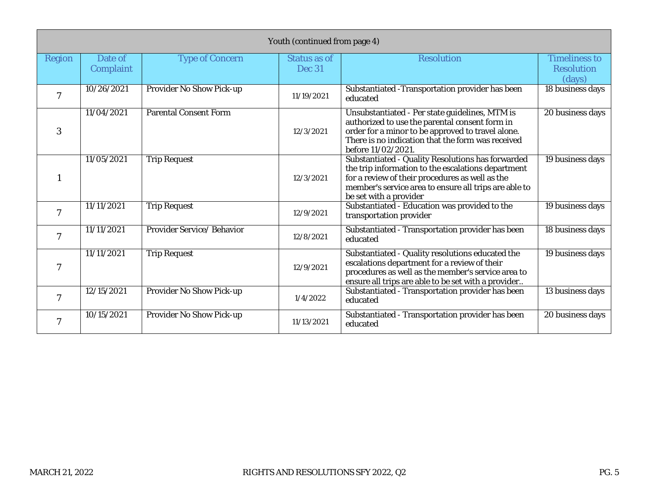|                | Youth (continued from page 4) |                              |                               |                                                                                                                                                                                                                                               |                                                     |  |  |
|----------------|-------------------------------|------------------------------|-------------------------------|-----------------------------------------------------------------------------------------------------------------------------------------------------------------------------------------------------------------------------------------------|-----------------------------------------------------|--|--|
| Region         | Date of<br>Complaint          | <b>Type of Concern</b>       | Status as of<br><b>Dec 31</b> | <b>Resolution</b>                                                                                                                                                                                                                             | <b>Timeliness to</b><br><b>Resolution</b><br>(days) |  |  |
|                | 10/26/2021                    | Provider No Show Pick-up     | 11/19/2021                    | Substantiated - Transportation provider has been<br>educated                                                                                                                                                                                  | 18 business days                                    |  |  |
| 3              | 11/04/2021                    | <b>Parental Consent Form</b> | 12/3/2021                     | Unsubstantiated - Per state guidelines, MTM is<br>authorized to use the parental consent form in<br>order for a minor to be approved to travel alone.<br>There is no indication that the form was received<br>before 11/02/2021.              | 20 business days                                    |  |  |
|                | 11/05/2021                    | <b>Trip Request</b>          | 12/3/2021                     | Substantiated - Quality Resolutions has forwarded<br>the trip information to the escalations department<br>for a review of their procedures as well as the<br>member's service area to ensure all trips are able to<br>be set with a provider | 19 business days                                    |  |  |
|                | 11/11/2021                    | <b>Trip Request</b>          | 12/9/2021                     | Substantiated - Education was provided to the<br>transportation provider                                                                                                                                                                      | 19 business days                                    |  |  |
|                | 11/11/2021                    | Provider Service/ Behavior   | 12/8/2021                     | Substantiated - Transportation provider has been<br>educated                                                                                                                                                                                  | 18 business days                                    |  |  |
| $\overline{7}$ | 11/11/2021                    | <b>Trip Request</b>          | 12/9/2021                     | Substantiated - Quality resolutions educated the<br>escalations department for a review of their<br>procedures as well as the member's service area to<br>ensure all trips are able to be set with a provider                                 | 19 business days                                    |  |  |
|                | 12/15/2021                    | Provider No Show Pick-up     | 1/4/2022                      | Substantiated - Transportation provider has been<br>educated                                                                                                                                                                                  | 13 business days                                    |  |  |
|                | 10/15/2021                    | Provider No Show Pick-up     | 11/13/2021                    | Substantiated - Transportation provider has been<br>educated                                                                                                                                                                                  | 20 business days                                    |  |  |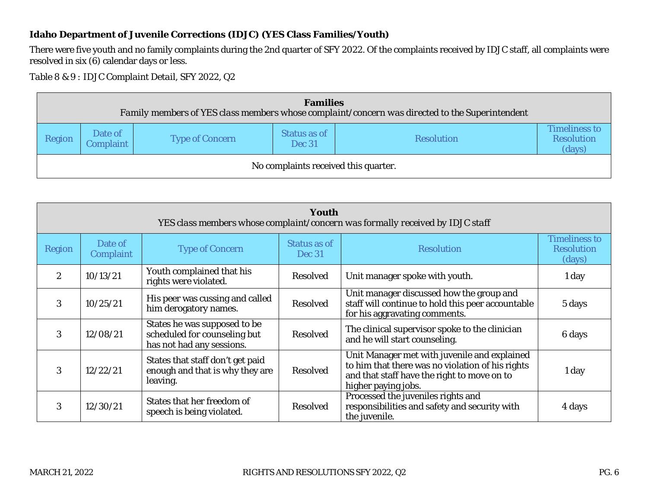### **Idaho Department of Juvenile Corrections (IDJC) (YES Class Families/Youth)**

There were five youth and no family complaints during the 2nd quarter of SFY 2022. Of the complaints received by IDJC staff, all complaints were resolved in six (6) calendar days or less.

*Table 8 & 9 : IDJC Complaint Detail, SFY 2022, Q2*

|        | Families<br>Family members of YES class members whose complaint/concern was directed to the Superintendent |                 |                               |                   |                                              |  |  |  |
|--------|------------------------------------------------------------------------------------------------------------|-----------------|-------------------------------|-------------------|----------------------------------------------|--|--|--|
| Region | Date of<br>Complaint                                                                                       | Type of Concern | Status as of<br><b>Dec 31</b> | <b>Resolution</b> | Timeliness to<br><b>Resolution</b><br>(days) |  |  |  |
|        | No complaints received this quarter.                                                                       |                 |                               |                   |                                              |  |  |  |

|               | Youth<br>YES class members whose complaint/concern was formally received by IDJC staff |                                                                                           |                               |                                                                                                                                                                        |                                              |  |  |  |
|---------------|----------------------------------------------------------------------------------------|-------------------------------------------------------------------------------------------|-------------------------------|------------------------------------------------------------------------------------------------------------------------------------------------------------------------|----------------------------------------------|--|--|--|
| Region        | Date of<br>Complaint                                                                   | <b>Type of Concern</b>                                                                    | Status as of<br><b>Dec 31</b> | <b>Resolution</b>                                                                                                                                                      | <b>Timeliness to</b><br>Resolution<br>(days) |  |  |  |
| $\mathcal{P}$ | 10/13/21                                                                               | Youth complained that his<br>rights were violated.                                        | Resolved                      | Unit manager spoke with youth.                                                                                                                                         | 1 day                                        |  |  |  |
| 3             | 10/25/21                                                                               | His peer was cussing and called<br>him derogatory names.                                  | Resolved                      | Unit manager discussed how the group and<br>staff will continue to hold this peer accountable<br>for his aggravating comments.                                         | 5 days                                       |  |  |  |
| 3             | 12/08/21                                                                               | States he was supposed to be<br>scheduled for counseling but<br>has not had any sessions. | Resolved                      | The clinical supervisor spoke to the clinician<br>and he will start counseling.                                                                                        | 6 days                                       |  |  |  |
| 3             | 12/22/21                                                                               | States that staff don't get paid<br>enough and that is why they are<br>leaving.           | Resolved                      | Unit Manager met with juvenile and explained<br>to him that there was no violation of his rights<br>and that staff have the right to move on to<br>higher paying jobs. | 1 day                                        |  |  |  |
| 3             | 12/30/21                                                                               | States that her freedom of<br>speech is being violated.                                   | Resolved                      | Processed the juveniles rights and<br>responsibilities and safety and security with<br>the juvenile.                                                                   | 4 days                                       |  |  |  |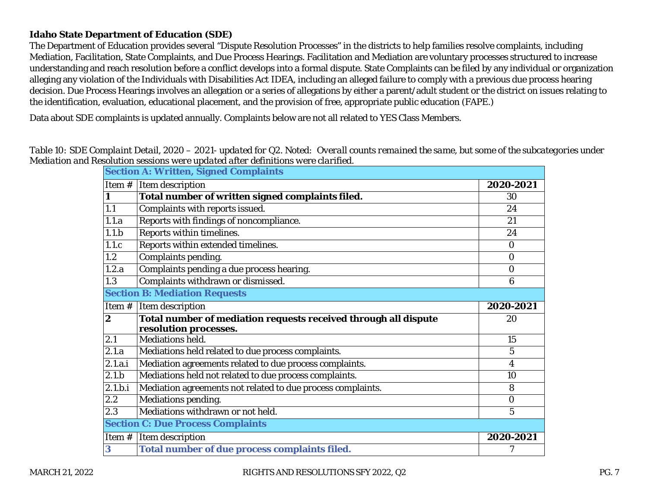#### **Idaho State Department of Education (SDE)**

The Department of Education provides several "Dispute Resolution Processes" in the districts to help families resolve complaints, including Mediation, Facilitation, State Complaints, and Due Process Hearings. Facilitation and Mediation are voluntary processes structured to increase understanding and reach resolution before a conflict develops into a formal dispute. State Complaints can be filed by any individual or organization alleging any violation of the Individuals with Disabilities Act IDEA, including an alleged failure to comply with a previous due process hearing decision. Due Process Hearings involves an allegation or a series of allegations by either a parent/adult student or the district on issues relating to the identification, evaluation, educational placement, and the provision of free, appropriate public education (FAPE.)

Data about SDE complaints is updated annually. Complaints below are not all related to YES Class Members.

|                | resolution sessions were apauted arter admitted is were clarified.                       |                |
|----------------|------------------------------------------------------------------------------------------|----------------|
|                | Section A: Written, Signed Complaints                                                    |                |
|                | Item $#$ Item description                                                                | 2020-2021      |
|                | Total number of written signed complaints filed.                                         | 30             |
| 1.1            | Complaints with reports issued.                                                          | 24             |
| 1.1.a          | Reports with findings of noncompliance.                                                  | 21             |
| 1.1.b          | Reports within timelines.                                                                | 24             |
| 1.1.c          | Reports within extended timelines.                                                       | $\Omega$       |
| 1.2            | Complaints pending.                                                                      | $\overline{0}$ |
| 1.2.a          | Complaints pending a due process hearing.                                                | $\Omega$       |
| 1.3            | Complaints withdrawn or dismissed.                                                       | 6              |
|                | <b>Section B: Mediation Requests</b>                                                     |                |
| Item#          | Item description                                                                         | 2020-2021      |
| $\overline{2}$ | Total number of mediation requests received through all dispute<br>resolution processes. | 20             |
| 2.1            | Mediations held.                                                                         | 15             |
| 2.1.a          | Mediations held related to due process complaints.                                       | 5              |
| 2.1.a.i        | Mediation agreements related to due process complaints.                                  | $\overline{4}$ |
| 2.1.b          | Mediations held not related to due process complaints.                                   | 10             |
| 2.1.b.i        | Mediation agreements not related to due process complaints.                              | 8              |
| 2.2            | Mediations pending.                                                                      | $\overline{0}$ |
| 2.3            | Mediations withdrawn or not held.                                                        | 5              |
|                | Section C: Due Process Complaints                                                        |                |
| Item #         | Item description                                                                         | 2020-2021      |
| 3              | Total number of due process complaints filed.                                            |                |
|                |                                                                                          |                |

*Table 10: SDE Complaint Detail, 2020 – 2021- updated for Q2. Noted: Overall counts remained the same, but some of the subcategories under Mediation and Resolution sessions were updated after definitions were clarified.*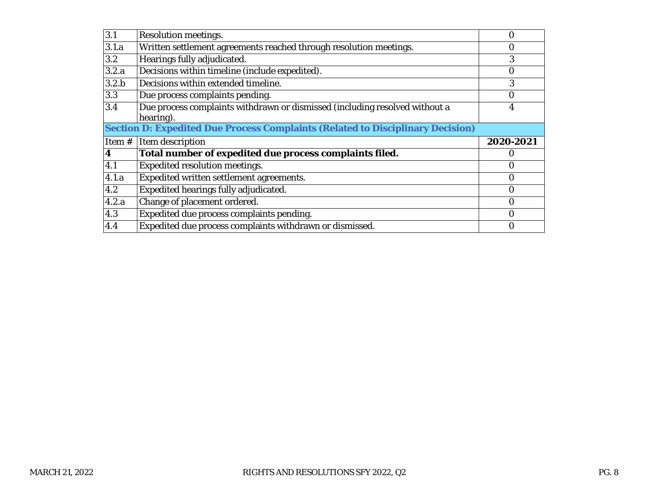| 3.1              | Resolution meetings.                                                                     |                  |
|------------------|------------------------------------------------------------------------------------------|------------------|
| 3.1.a            | Written settlement agreements reached through resolution meetings.                       | $\left( \right)$ |
| 3.2              | Hearings fully adjudicated.                                                              | 3                |
| 3.2.a            | Decisions within timeline (include expedited).                                           |                  |
| 3.2.b            | Decisions within extended timeline.                                                      |                  |
| 3.3              | Due process complaints pending.                                                          | O                |
| $\overline{3.4}$ | Due process complaints withdrawn or dismissed (including resolved without a<br>hearing). | 4                |
|                  | Section D: Expedited Due Process Complaints (Related to Disciplinary Decision)           |                  |
|                  |                                                                                          |                  |
| Item $#$         | Item description                                                                         | 2020-2021        |
| 4                | Total number of expedited due process complaints filed.                                  | O                |
| 4.1              | Expedited resolution meetings.                                                           | Ω                |
| 4.1.a            | Expedited written settlement agreements.                                                 | 0                |
| 4.2              | Expedited hearings fully adjudicated.                                                    | Ω                |
| 4.2.a            | Change of placement ordered.                                                             |                  |
| 4.3              | Expedited due process complaints pending.                                                | Ω                |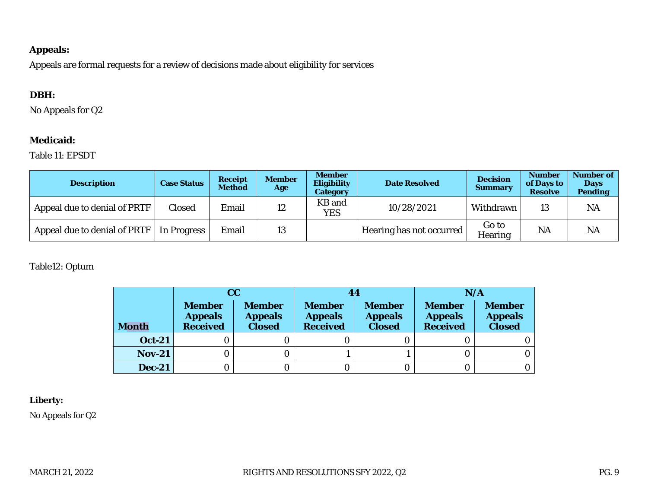#### **Appeals:**

Appeals are formal requests for a review of decisions made about eligibility for services

## **DBH:**

No Appeals for Q2

## **Medicaid:**

#### Table 11: EPSDT

| Description                  | Case Status | Receipt<br><b>Method</b> | Member<br>Age | <b>Member</b><br>Eligibility<br>Category | Date Resolved            | Decision<br>Summary | Number<br>of Days to<br><b>Resolve</b> | Number of<br>Days<br>Pending |
|------------------------------|-------------|--------------------------|---------------|------------------------------------------|--------------------------|---------------------|----------------------------------------|------------------------------|
| Appeal due to denial of PRTF | Closed      | Email                    | 12            | KB and<br>YES                            | 10/28/2021               | Withdrawn           | 13                                     | <b>NA</b>                    |
| Appeal due to denial of PRTF | In Progress | Email                    | 13            |                                          | Hearing has not occurred | Go to<br>Hearing    | <b>NA</b>                              | <b>NA</b>                    |

Table12: Optum

|               |                                             | CС                                        | 44                                   |                                           | N/A                                  |                                    |
|---------------|---------------------------------------------|-------------------------------------------|--------------------------------------|-------------------------------------------|--------------------------------------|------------------------------------|
| Month         | <b>Member</b><br><b>Appeals</b><br>Received | <b>Member</b><br><b>Appeals</b><br>Closed | <b>Member</b><br>Appeals<br>Received | <b>Member</b><br><b>Appeals</b><br>Closed | <b>Member</b><br>Appeals<br>Received | <b>Member</b><br>Appeals<br>Closed |
| Oct-21        |                                             |                                           |                                      |                                           |                                      |                                    |
| <b>Nov-21</b> |                                             |                                           |                                      |                                           |                                      |                                    |
| $Dec-21$      |                                             |                                           |                                      |                                           |                                      |                                    |

**Liberty:**

No Appeals for Q2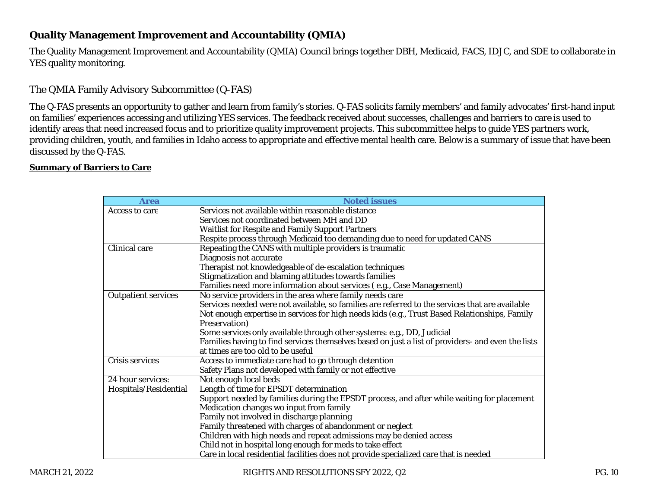## **Quality Management Improvement and Accountability (QMIA)**

The Quality Management Improvement and Accountability (QMIA) Council brings together DBH, Medicaid, FACS, IDJC, and SDE to collaborate in YES quality monitoring.

### The QMIA Family Advisory Subcommittee (Q-FAS)

The Q-FAS presents an opportunity to gather and learn from family's stories. Q-FAS solicits family members' and family advocates' first-hand input on families' experiences accessing and utilizing YES services. The feedback received about successes, challenges and barriers to care is used to identify areas that need increased focus and to prioritize quality improvement projects. This subcommittee helps to quide YES partners work, providing children, youth, and families in Idaho access to appropriate and effective mental health care. Below is a summary of issue that have been discussed by the Q-FAS.

#### **Summary of Barriers to Care**

| Area                       | <b>Noted issues</b>                                                                               |
|----------------------------|---------------------------------------------------------------------------------------------------|
| Access to care             | Services not available within reasonable distance                                                 |
|                            | Services not coordinated between MH and DD                                                        |
|                            | Waitlist for Respite and Family Support Partners                                                  |
|                            | Respite process through Medicaid too demanding due to need for updated CANS                       |
| Clinical care              | Repeating the CANS with multiple providers is traumatic                                           |
|                            | Diagnosis not accurate                                                                            |
|                            | Therapist not knowledgeable of de-escalation techniques                                           |
|                            | Stigmatization and blaming attitudes towards families                                             |
|                            | Families need more information about services (e.g., Case Management)                             |
| <b>Outpatient services</b> | No service providers in the area where family needs care                                          |
|                            | Services needed were not available, so families are referred to the services that are available   |
|                            | Not enough expertise in services for high needs kids (e.g., Trust Based Relationships, Family     |
|                            | Preservation)                                                                                     |
|                            | Some services only available through other systems: e.g., DD, Judicial                            |
|                            | Families having to find services themselves based on just a list of providers- and even the lists |
|                            | at times are too old to be useful                                                                 |
| Crisis services            | Access to immediate care had to go through detention                                              |
|                            | Safety Plans not developed with family or not effective                                           |
| 24 hour services:          | Not enough local beds                                                                             |
| Hospitals/Residential      | Length of time for EPSDT determination                                                            |
|                            | Support needed by families during the EPSDT process, and after while waiting for placement        |
|                            | Medication changes wo input from family                                                           |
|                            | Family not involved in discharge planning                                                         |
|                            | Family threatened with charges of abandonment or neglect                                          |
|                            | Children with high needs and repeat admissions may be denied access                               |
|                            | Child not in hospital long enough for meds to take effect                                         |
|                            | Care in local residential facilities does not provide specialized care that is needed             |